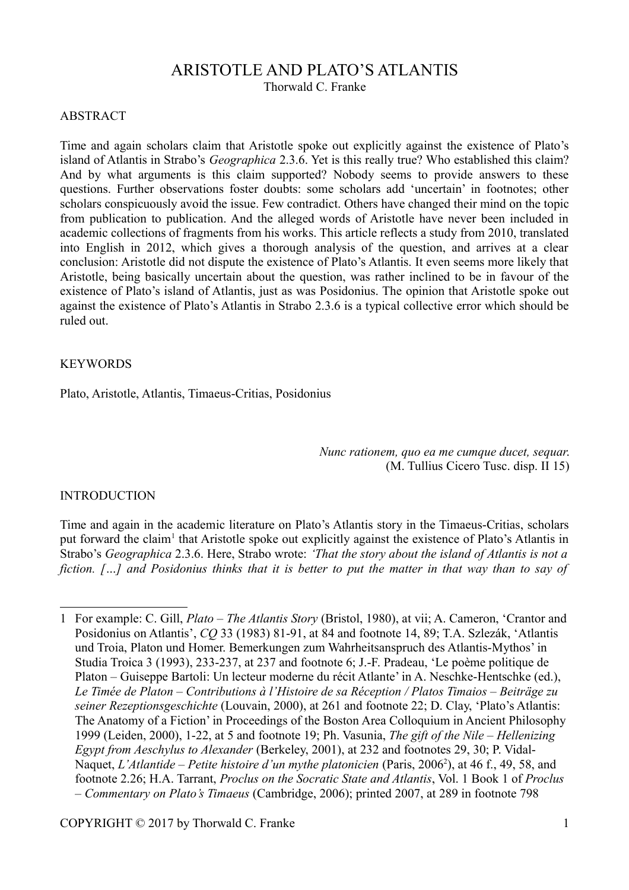# ARISTOTLE AND PLATO'S ATLANTIS

Thorwald C. Franke

#### ABSTRACT

Time and again scholars claim that Aristotle spoke out explicitly against the existence of Plato's island of Atlantis in Strabo's *Geographica* 2.3.6. Yet is this really true? Who established this claim? And by what arguments is this claim supported? Nobody seems to provide answers to these questions. Further observations foster doubts: some scholars add 'uncertain' in footnotes; other scholars conspicuously avoid the issue. Few contradict. Others have changed their mind on the topic from publication to publication. And the alleged words of Aristotle have never been included in academic collections of fragments from his works. This article reflects a study from 2010, translated into English in 2012, which gives a thorough analysis of the question, and arrives at a clear conclusion: Aristotle did not dispute the existence of Plato's Atlantis. It even seems more likely that Aristotle, being basically uncertain about the question, was rather inclined to be in favour of the existence of Plato's island of Atlantis, just as was Posidonius. The opinion that Aristotle spoke out against the existence of Plato's Atlantis in Strabo 2.3.6 is a typical collective error which should be ruled out.

#### **KEYWORDS**

Plato, Aristotle, Atlantis, Timaeus-Critias, Posidonius

*Nunc rationem, quo ea me cumque ducet, sequar*. (M. Tullius Cicero Tusc. disp. II 15)

#### INTRODUCTION

Time and again in the academic literature on Plato's Atlantis story in the Timaeus-Critias, scholars put forward the claim<sup>[1](#page-0-0)</sup> that Aristotle spoke out explicitly against the existence of Plato's Atlantis in Strabo's *Geographica* 2.3.6. Here, Strabo wrote: *'That the story about the island of Atlantis is not a fiction. […] and Posidonius thinks that it is better to put the matter in that way than to say of*

<span id="page-0-0"></span><sup>1</sup> For example: C. Gill, *Plato – The Atlantis Story* (Bristol, 1980), at vii; A. Cameron, 'Crantor and Posidonius on Atlantis', *CQ* 33 (1983) 81-91, at 84 and footnote 14, 89; T.A. Szlezák, 'Atlantis und Troia, Platon und Homer. Bemerkungen zum Wahrheitsanspruch des Atlantis-Mythos' in Studia Troica 3 (1993), 233-237, at 237 and footnote 6; J.-F. Pradeau, 'Le poème politique de Platon – Guiseppe Bartoli: Un lecteur moderne du récit Atlante' in A. Neschke-Hentschke (ed.), *Le Timée de Platon – Contributions à l'Histoire de sa Réception / Platos Timaios – Beiträge zu seiner Rezeptionsgeschichte* (Louvain, 2000), at 261 and footnote 22; D. Clay, 'Plato's Atlantis: The Anatomy of a Fiction' in Proceedings of the Boston Area Colloquium in Ancient Philosophy 1999 (Leiden, 2000), 1-22, at 5 and footnote 19; Ph. Vasunia, *The gift of the Nile – Hellenizing Egypt from Aeschylus to Alexander* (Berkeley, 2001), at 232 and footnotes 29, 30; P. Vidal-Naquet, *L'Atlantide – Petite histoire d'un mythe platonicien* (Paris, 2006<sup>2</sup>), at 46 f., 49, 58, and footnote 2.26; H.A. Tarrant, *Proclus on the Socratic State and Atlantis*, Vol. 1 Book 1 of *Proclus – Commentary on Plato's Timaeus* (Cambridge, 2006); printed 2007, at 289 in footnote 798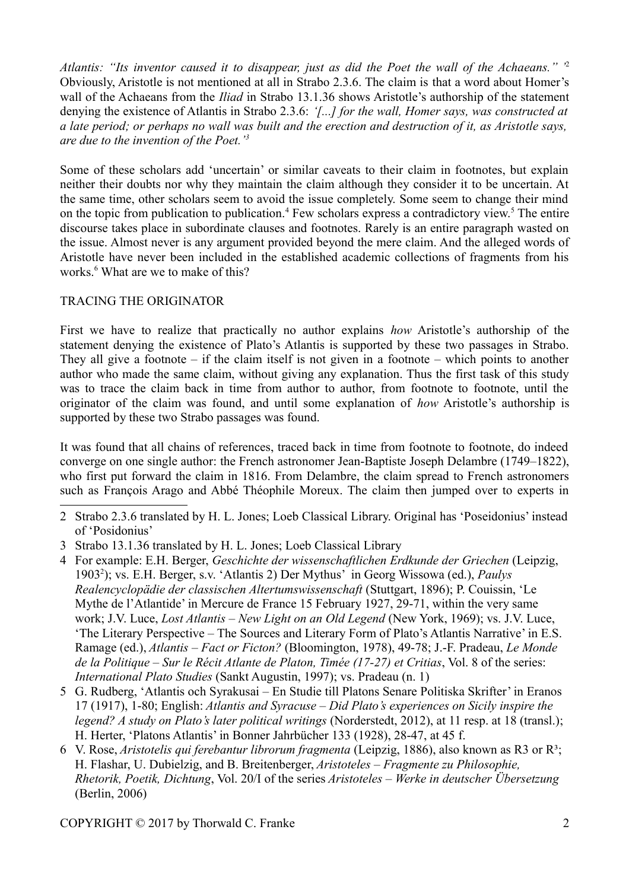*Atlantis: "Its inventor caused it to disappear, just as did the Poet the wall of the Achaeans." '* [2](#page-1-0) Obviously, Aristotle is not mentioned at all in Strabo 2.3.6. The claim is that a word about Homer's wall of the Achaeans from the *Iliad* in Strabo 13.1.36 shows Aristotle's authorship of the statement denying the existence of Atlantis in Strabo 2.3.6: *'[...] for the wall, Homer says, was constructed at a late period; or perhaps no wall was built and the erection and destruction of it, as Aristotle says, are due to the invention of the Poet.'[3](#page-1-1)*

Some of these scholars add 'uncertain' or similar caveats to their claim in footnotes, but explain neither their doubts nor why they maintain the claim although they consider it to be uncertain. At the same time, other scholars seem to avoid the issue completely. Some seem to change their mind on the topic from publication to publication.<sup>[4](#page-1-2)</sup> Few scholars express a contradictory view.<sup>[5](#page-1-3)</sup> The entire discourse takes place in subordinate clauses and footnotes. Rarely is an entire paragraph wasted on the issue. Almost never is any argument provided beyond the mere claim. And the alleged words of Aristotle have never been included in the established academic collections of fragments from his works.<sup>[6](#page-1-4)</sup> What are we to make of this?

# TRACING THE ORIGINATOR

First we have to realize that practically no author explains *how* Aristotle's authorship of the statement denying the existence of Plato's Atlantis is supported by these two passages in Strabo. They all give a footnote – if the claim itself is not given in a footnote – which points to another author who made the same claim, without giving any explanation. Thus the first task of this study was to trace the claim back in time from author to author, from footnote to footnote, until the originator of the claim was found, and until some explanation of *how* Aristotle's authorship is supported by these two Strabo passages was found.

It was found that all chains of references, traced back in time from footnote to footnote, do indeed converge on one single author: the French astronomer Jean-Baptiste Joseph Delambre (1749–1822), who first put forward the claim in 1816. From Delambre, the claim spread to French astronomers such as François Arago and Abbé Théophile Moreux. The claim then jumped over to experts in

- <span id="page-1-0"></span>2 Strabo 2.3.6 translated by H. L. Jones; Loeb Classical Library. Original has 'Poseidonius' instead of 'Posidonius'
- <span id="page-1-1"></span>3 Strabo 13.1.36 translated by H. L. Jones; Loeb Classical Library
- <span id="page-1-2"></span>4 For example: E.H. Berger, *Geschichte der wissenschaftlichen Erdkunde der Griechen* (Leipzig, 1903<sup>2</sup>); vs. E.H. Berger, s.v. 'Atlantis 2) Der Mythus' in Georg Wissowa (ed.), *Paulys Realencyclopädie der classischen Altertumswissenschaft* (Stuttgart, 1896); P. Couissin, 'Le Mythe de l'Atlantide' in Mercure de France 15 February 1927, 29-71, within the very same work; J.V. Luce, *Lost Atlantis – New Light on an Old Legend* (New York, 1969); vs. J.V. Luce, 'The Literary Perspective – The Sources and Literary Form of Plato's Atlantis Narrative' in E.S. Ramage (ed.), *Atlantis – Fact or Ficton?* (Bloomington, 1978), 49-78; J.-F. Pradeau, *Le Monde de la Politique – Sur le Récit Atlante de Platon, Timée (17-27) et Critias*, Vol. 8 of the series: *International Plato Studies* (Sankt Augustin, 1997); vs. Pradeau (n. 1)
- <span id="page-1-3"></span>5 G. Rudberg, 'Atlantis och Syrakusai – En Studie till Platons Senare Politiska Skrifter' in Eranos 17 (1917), 1-80; English: *Atlantis and Syracuse – Did Plato's experiences on Sicily inspire the legend? A study on Plato's later political writings* (Norderstedt, 2012), at 11 resp. at 18 (transl.); H. Herter, 'Platons Atlantis' in Bonner Jahrbücher 133 (1928), 28-47, at 45 f.
- <span id="page-1-4"></span>6 V. Rose, *Aristotelis qui ferebantur librorum fragmenta* (Leipzig, 1886), also known as R3 or R³; H. Flashar, U. Dubielzig, and B. Breitenberger, *Aristoteles – Fragmente zu Philosophie, Rhetorik, Poetik, Dichtung*, Vol. 20/I of the series *Aristoteles – Werke in deutscher Übersetzung* (Berlin, 2006)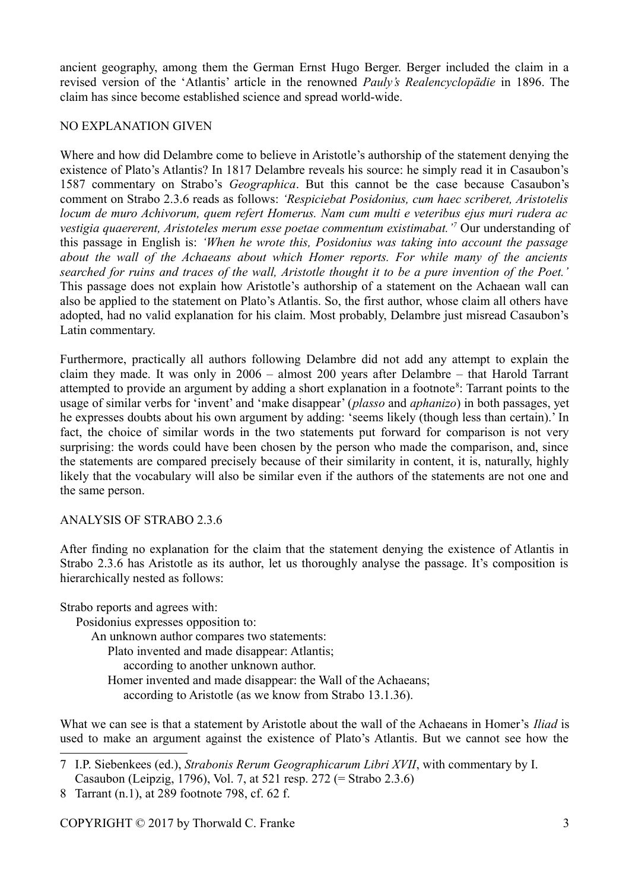ancient geography, among them the German Ernst Hugo Berger. Berger included the claim in a revised version of the 'Atlantis' article in the renowned *Pauly's Realencyclopädie* in 1896. The claim has since become established science and spread world-wide.

## NO EXPLANATION GIVEN

Where and how did Delambre come to believe in Aristotle's authorship of the statement denying the existence of Plato's Atlantis? In 1817 Delambre reveals his source: he simply read it in Casaubon's 1587 commentary on Strabo's *Geographica*. But this cannot be the case because Casaubon's comment on Strabo 2.3.6 reads as follows: *'Respiciebat Posidonius, cum haec scriberet, Aristotelis locum de muro Achivorum, quem refert Homerus. Nam cum multi e veteribus ejus muri rudera ac vestigia quaererent, Aristoteles merum esse poetae commentum existimabat.'[7](#page-2-0)* Our understanding of this passage in English is: *'When he wrote this, Posidonius was taking into account the passage about the wall of the Achaeans about which Homer reports. For while many of the ancients searched for ruins and traces of the wall, Aristotle thought it to be a pure invention of the Poet.'* This passage does not explain how Aristotle's authorship of a statement on the Achaean wall can also be applied to the statement on Plato's Atlantis. So, the first author, whose claim all others have adopted, had no valid explanation for his claim. Most probably, Delambre just misread Casaubon's Latin commentary.

Furthermore, practically all authors following Delambre did not add any attempt to explain the claim they made. It was only in 2006 – almost 200 years after Delambre – that Harold Tarrant attempted to provide an argument by adding a short explanation in a footnote<sup>[8](#page-2-1)</sup>: Tarrant points to the usage of similar verbs for 'invent' and 'make disappear' (*plasso* and *aphanizo*) in both passages, yet he expresses doubts about his own argument by adding: 'seems likely (though less than certain).' In fact, the choice of similar words in the two statements put forward for comparison is not very surprising: the words could have been chosen by the person who made the comparison, and, since the statements are compared precisely because of their similarity in content, it is, naturally, highly likely that the vocabulary will also be similar even if the authors of the statements are not one and the same person.

## ANALYSIS OF STRABO 2.3.6

After finding no explanation for the claim that the statement denying the existence of Atlantis in Strabo 2.3.6 has Aristotle as its author, let us thoroughly analyse the passage. It's composition is hierarchically nested as follows:

Strabo reports and agrees with:

Posidonius expresses opposition to:

An unknown author compares two statements:

Plato invented and made disappear: Atlantis;

according to another unknown author.

Homer invented and made disappear: the Wall of the Achaeans;

according to Aristotle (as we know from Strabo 13.1.36).

What we can see is that a statement by Aristotle about the wall of the Achaeans in Homer's *Iliad* is used to make an argument against the existence of Plato's Atlantis. But we cannot see how the

<span id="page-2-0"></span><sup>7</sup> I.P. Siebenkees (ed.), *Strabonis Rerum Geographicarum Libri XVII*, with commentary by I. Casaubon (Leipzig, 1796), Vol. 7, at 521 resp. 272 (= Strabo 2.3.6)

<span id="page-2-1"></span><sup>8</sup> Tarrant (n.1), at 289 footnote 798, cf. 62 f.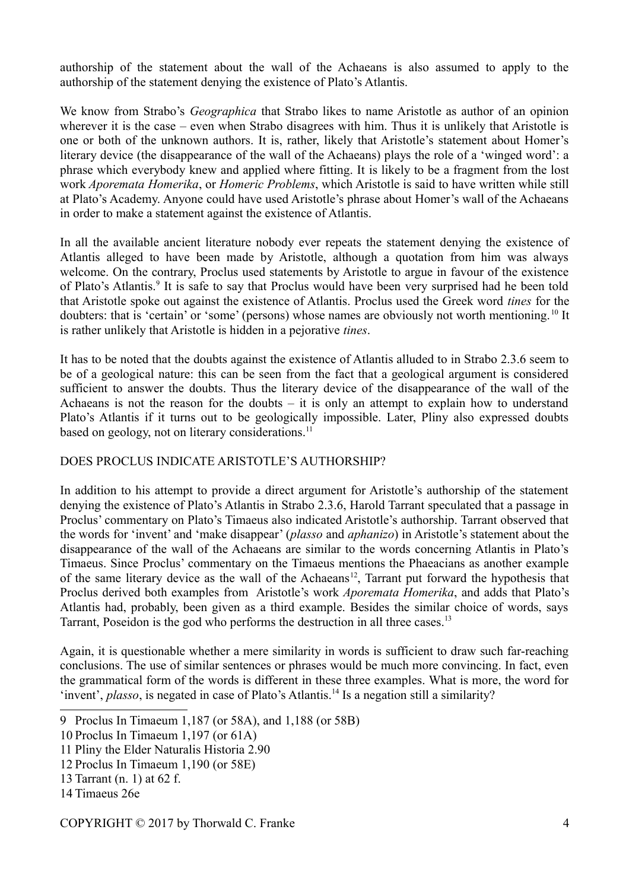authorship of the statement about the wall of the Achaeans is also assumed to apply to the authorship of the statement denying the existence of Plato's Atlantis.

We know from Strabo's *Geographica* that Strabo likes to name Aristotle as author of an opinion wherever it is the case – even when Strabo disagrees with him. Thus it is unlikely that Aristotle is one or both of the unknown authors. It is, rather, likely that Aristotle's statement about Homer's literary device (the disappearance of the wall of the Achaeans) plays the role of a 'winged word': a phrase which everybody knew and applied where fitting. It is likely to be a fragment from the lost work *Aporemata Homerika*, or *Homeric Problems*, which Aristotle is said to have written while still at Plato's Academy. Anyone could have used Aristotle's phrase about Homer's wall of the Achaeans in order to make a statement against the existence of Atlantis.

In all the available ancient literature nobody ever repeats the statement denying the existence of Atlantis alleged to have been made by Aristotle, although a quotation from him was always welcome. On the contrary, Proclus used statements by Aristotle to argue in favour of the existence of Plato's Atlantis.<sup>[9](#page-3-0)</sup> It is safe to say that Proclus would have been very surprised had he been told that Aristotle spoke out against the existence of Atlantis. Proclus used the Greek word *tines* for the doubters: that is 'certain' or 'some' (persons) whose names are obviously not worth mentioning.<sup>[10](#page-3-1)</sup> It is rather unlikely that Aristotle is hidden in a pejorative *tines*.

It has to be noted that the doubts against the existence of Atlantis alluded to in Strabo 2.3.6 seem to be of a geological nature: this can be seen from the fact that a geological argument is considered sufficient to answer the doubts. Thus the literary device of the disappearance of the wall of the Achaeans is not the reason for the doubts – it is only an attempt to explain how to understand Plato's Atlantis if it turns out to be geologically impossible. Later, Pliny also expressed doubts based on geology, not on literary considerations.<sup>[11](#page-3-2)</sup>

# DOES PROCLUS INDICATE ARISTOTLE'S AUTHORSHIP?

In addition to his attempt to provide a direct argument for Aristotle's authorship of the statement denying the existence of Plato's Atlantis in Strabo 2.3.6, Harold Tarrant speculated that a passage in Proclus' commentary on Plato's Timaeus also indicated Aristotle's authorship. Tarrant observed that the words for 'invent' and 'make disappear' (*plasso* and *aphanizo*) in Aristotle's statement about the disappearance of the wall of the Achaeans are similar to the words concerning Atlantis in Plato's Timaeus. Since Proclus' commentary on the Timaeus mentions the Phaeacians as another example of the same literary device as the wall of the Achaeans<sup>[12](#page-3-3)</sup>, Tarrant put forward the hypothesis that Proclus derived both examples from Aristotle's work *Aporemata Homerika*, and adds that Plato's Atlantis had, probably, been given as a third example. Besides the similar choice of words, says Tarrant, Poseidon is the god who performs the destruction in all three cases.<sup>[13](#page-3-4)</sup>

Again, it is questionable whether a mere similarity in words is sufficient to draw such far-reaching conclusions. The use of similar sentences or phrases would be much more convincing. In fact, even the grammatical form of the words is different in these three examples. What is more, the word for 'invent', *plasso*, is negated in case of Plato's Atlantis.<sup>[14](#page-3-5)</sup> Is a negation still a similarity?

<span id="page-3-0"></span><sup>9</sup> Proclus In Timaeum 1,187 (or 58A), and 1,188 (or 58B)

<span id="page-3-1"></span><sup>10</sup> Proclus In Timaeum 1,197 (or 61A)

<span id="page-3-2"></span><sup>11</sup> Pliny the Elder Naturalis Historia 2.90

<span id="page-3-3"></span><sup>12</sup> Proclus In Timaeum 1,190 (or 58E)

<span id="page-3-4"></span><sup>13</sup> Tarrant (n. 1) at 62 f.

<span id="page-3-5"></span><sup>14</sup> Timaeus 26e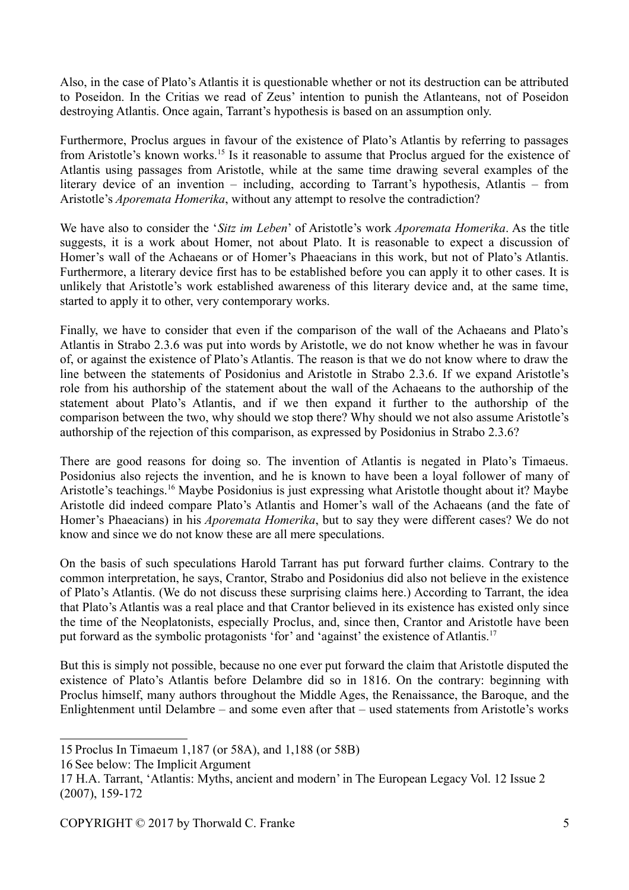Also, in the case of Plato's Atlantis it is questionable whether or not its destruction can be attributed to Poseidon. In the Critias we read of Zeus' intention to punish the Atlanteans, not of Poseidon destroying Atlantis. Once again, Tarrant's hypothesis is based on an assumption only.

Furthermore, Proclus argues in favour of the existence of Plato's Atlantis by referring to passages from Aristotle's known works.[15](#page-4-0) Is it reasonable to assume that Proclus argued for the existence of Atlantis using passages from Aristotle, while at the same time drawing several examples of the literary device of an invention – including, according to Tarrant's hypothesis, Atlantis – from Aristotle's *Aporemata Homerika*, without any attempt to resolve the contradiction?

We have also to consider the '*Sitz im Leben*' of Aristotle's work *Aporemata Homerika*. As the title suggests, it is a work about Homer, not about Plato. It is reasonable to expect a discussion of Homer's wall of the Achaeans or of Homer's Phaeacians in this work, but not of Plato's Atlantis. Furthermore, a literary device first has to be established before you can apply it to other cases. It is unlikely that Aristotle's work established awareness of this literary device and, at the same time, started to apply it to other, very contemporary works.

Finally, we have to consider that even if the comparison of the wall of the Achaeans and Plato's Atlantis in Strabo 2.3.6 was put into words by Aristotle, we do not know whether he was in favour of, or against the existence of Plato's Atlantis. The reason is that we do not know where to draw the line between the statements of Posidonius and Aristotle in Strabo 2.3.6. If we expand Aristotle's role from his authorship of the statement about the wall of the Achaeans to the authorship of the statement about Plato's Atlantis, and if we then expand it further to the authorship of the comparison between the two, why should we stop there? Why should we not also assume Aristotle's authorship of the rejection of this comparison, as expressed by Posidonius in Strabo 2.3.6?

There are good reasons for doing so. The invention of Atlantis is negated in Plato's Timaeus. Posidonius also rejects the invention, and he is known to have been a loyal follower of many of Aristotle's teachings.<sup>[16](#page-4-1)</sup> Maybe Posidonius is just expressing what Aristotle thought about it? Maybe Aristotle did indeed compare Plato's Atlantis and Homer's wall of the Achaeans (and the fate of Homer's Phaeacians) in his *Aporemata Homerika*, but to say they were different cases? We do not know and since we do not know these are all mere speculations.

On the basis of such speculations Harold Tarrant has put forward further claims. Contrary to the common interpretation, he says, Crantor, Strabo and Posidonius did also not believe in the existence of Plato's Atlantis. (We do not discuss these surprising claims here.) According to Tarrant, the idea that Plato's Atlantis was a real place and that Crantor believed in its existence has existed only since the time of the Neoplatonists, especially Proclus, and, since then, Crantor and Aristotle have been put forward as the symbolic protagonists 'for' and 'against' the existence of Atlantis.<sup>[17](#page-4-2)</sup>

But this is simply not possible, because no one ever put forward the claim that Aristotle disputed the existence of Plato's Atlantis before Delambre did so in 1816. On the contrary: beginning with Proclus himself, many authors throughout the Middle Ages, the Renaissance, the Baroque, and the Enlightenment until Delambre – and some even after that – used statements from Aristotle's works

<span id="page-4-0"></span><sup>15</sup> Proclus In Timaeum 1,187 (or 58A), and 1,188 (or 58B)

<span id="page-4-1"></span><sup>16</sup> See below: The Implicit Argument

<span id="page-4-2"></span><sup>17</sup> H.A. Tarrant, 'Atlantis: Myths, ancient and modern' in The European Legacy Vol. 12 Issue 2 (2007), 159-172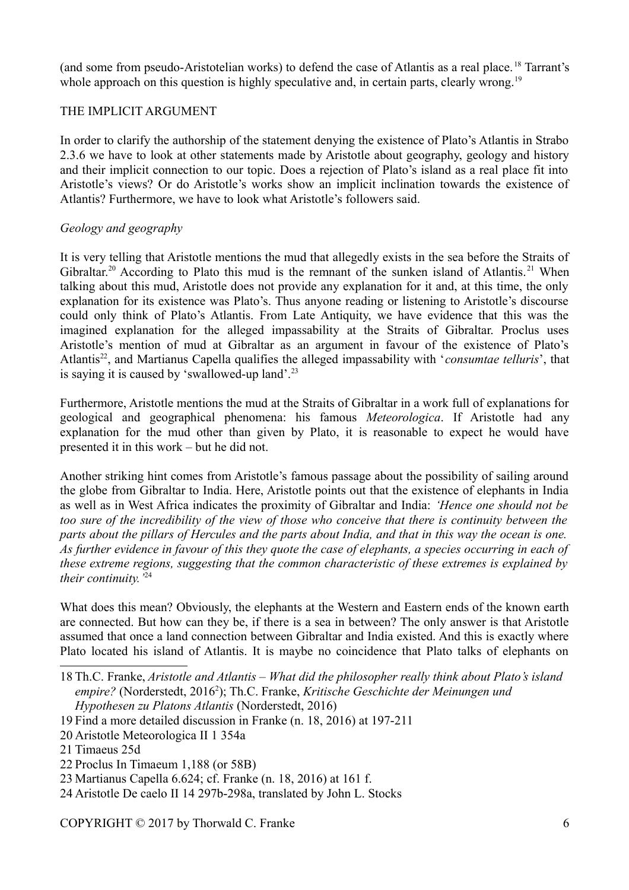(and some from pseudo-Aristotelian works) to defend the case of Atlantis as a real place. [18](#page-5-0) Tarrant's whole approach on this question is highly speculative and, in certain parts, clearly wrong.<sup>[19](#page-5-1)</sup>

## THE IMPLICIT ARGUMENT

In order to clarify the authorship of the statement denying the existence of Plato's Atlantis in Strabo 2.3.6 we have to look at other statements made by Aristotle about geography, geology and history and their implicit connection to our topic. Does a rejection of Plato's island as a real place fit into Aristotle's views? Or do Aristotle's works show an implicit inclination towards the existence of Atlantis? Furthermore, we have to look what Aristotle's followers said.

## *Geology and geography*

It is very telling that Aristotle mentions the mud that allegedly exists in the sea before the Straits of Gibraltar.<sup>[20](#page-5-2)</sup> According to Plato this mud is the remnant of the sunken island of Atlantis.<sup>[21](#page-5-3)</sup> When talking about this mud, Aristotle does not provide any explanation for it and, at this time, the only explanation for its existence was Plato's. Thus anyone reading or listening to Aristotle's discourse could only think of Plato's Atlantis. From Late Antiquity, we have evidence that this was the imagined explanation for the alleged impassability at the Straits of Gibraltar. Proclus uses Aristotle's mention of mud at Gibraltar as an argument in favour of the existence of Plato's Atlantis<sup>[22](#page-5-4)</sup>, and Martianus Capella qualifies the alleged impassability with '*consumtae telluris*', that is saying it is caused by 'swallowed-up land'.[23](#page-5-5)

Furthermore, Aristotle mentions the mud at the Straits of Gibraltar in a work full of explanations for geological and geographical phenomena: his famous *Meteorologica*. If Aristotle had any explanation for the mud other than given by Plato, it is reasonable to expect he would have presented it in this work – but he did not.

Another striking hint comes from Aristotle's famous passage about the possibility of sailing around the globe from Gibraltar to India. Here, Aristotle points out that the existence of elephants in India as well as in West Africa indicates the proximity of Gibraltar and India: *'Hence one should not be too sure of the incredibility of the view of those who conceive that there is continuity between the parts about the pillars of Hercules and the parts about India, and that in this way the ocean is one. As further evidence in favour of this they quote the case of elephants, a species occurring in each of these extreme regions, suggesting that the common characteristic of these extremes is explained by their continuity.'*[24](#page-5-6)

What does this mean? Obviously, the elephants at the Western and Eastern ends of the known earth are connected. But how can they be, if there is a sea in between? The only answer is that Aristotle assumed that once a land connection between Gibraltar and India existed. And this is exactly where Plato located his island of Atlantis. It is maybe no coincidence that Plato talks of elephants on

- <span id="page-5-1"></span>19 Find a more detailed discussion in Franke (n. 18, 2016) at 197-211
- <span id="page-5-2"></span>20 Aristotle Meteorologica II 1 354a

- <span id="page-5-4"></span>22 Proclus In Timaeum 1,188 (or 58B)
- <span id="page-5-5"></span>23 Martianus Capella 6.624; cf. Franke (n. 18, 2016) at 161 f.
- <span id="page-5-6"></span>24 Aristotle De caelo II 14 297b-298a, translated by John L. Stocks

<span id="page-5-0"></span><sup>18</sup> Th.C. Franke, *Aristotle and Atlantis – What did the philosopher really think about Plato's island*  empire? (Norderstedt, 2016<sup>2</sup>); Th.C. Franke, *Kritische Geschichte der Meinungen und Hypothesen zu Platons Atlantis* (Norderstedt, 2016)

<span id="page-5-3"></span><sup>21</sup> Timaeus 25d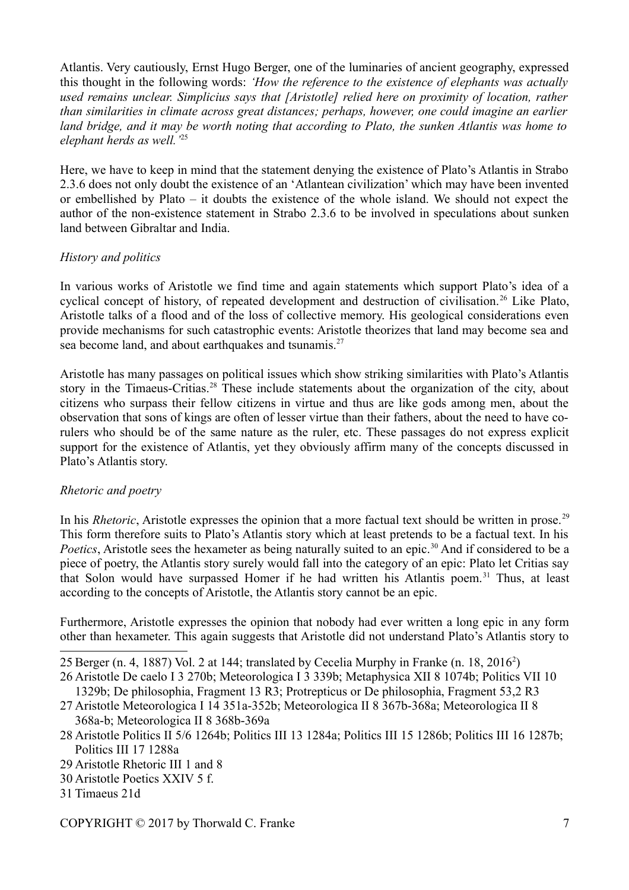Atlantis. Very cautiously, Ernst Hugo Berger, one of the luminaries of ancient geography, expressed this thought in the following words: *'How the reference to the existence of elephants was actually used remains unclear. Simplicius says that [Aristotle] relied here on proximity of location, rather than similarities in climate across great distances; perhaps, however, one could imagine an earlier land bridge, and it may be worth noting that according to Plato, the sunken Atlantis was home to elephant herds as well.'*[25](#page-6-0)

Here, we have to keep in mind that the statement denying the existence of Plato's Atlantis in Strabo 2.3.6 does not only doubt the existence of an 'Atlantean civilization' which may have been invented or embellished by Plato – it doubts the existence of the whole island. We should not expect the author of the non-existence statement in Strabo 2.3.6 to be involved in speculations about sunken land between Gibraltar and India.

# *History and politics*

In various works of Aristotle we find time and again statements which support Plato's idea of a cyclical concept of history, of repeated development and destruction of civilisation.<sup>[26](#page-6-1)</sup> Like Plato, Aristotle talks of a flood and of the loss of collective memory. His geological considerations even provide mechanisms for such catastrophic events: Aristotle theorizes that land may become sea and sea become land, and about earthquakes and tsunamis. $27$ 

Aristotle has many passages on political issues which show striking similarities with Plato's Atlantis story in the Timaeus-Critias.<sup>[28](#page-6-3)</sup> These include statements about the organization of the city, about citizens who surpass their fellow citizens in virtue and thus are like gods among men, about the observation that sons of kings are often of lesser virtue than their fathers, about the need to have corulers who should be of the same nature as the ruler, etc. These passages do not express explicit support for the existence of Atlantis, yet they obviously affirm many of the concepts discussed in Plato's Atlantis story.

## *Rhetoric and poetry*

In his *Rhetoric*, Aristotle expresses the opinion that a more factual text should be written in prose.<sup>[29](#page-6-4)</sup> This form therefore suits to Plato's Atlantis story which at least pretends to be a factual text. In his *Poetics*, Aristotle sees the hexameter as being naturally suited to an epic.<sup>[30](#page-6-5)</sup> And if considered to be a piece of poetry, the Atlantis story surely would fall into the category of an epic: Plato let Critias say that Solon would have surpassed Homer if he had written his Atlantis poem.<sup>[31](#page-6-6)</sup> Thus, at least according to the concepts of Aristotle, the Atlantis story cannot be an epic.

Furthermore, Aristotle expresses the opinion that nobody had ever written a long epic in any form other than hexameter. This again suggests that Aristotle did not understand Plato's Atlantis story to

<span id="page-6-1"></span>26 Aristotle De caelo I 3 270b; Meteorologica I 3 339b; Metaphysica XII 8 1074b; Politics VII 10

1329b; De philosophia, Fragment 13 R3; Protrepticus or De philosophia, Fragment 53,2 R3 27 Aristotle Meteorologica I 14 351a-352b; Meteorologica II 8 367b-368a; Meteorologica II 8

- <span id="page-6-2"></span>368a-b; Meteorologica II 8 368b-369a
- <span id="page-6-3"></span>28 Aristotle Politics II 5/6 1264b; Politics III 13 1284a; Politics III 15 1286b; Politics III 16 1287b; Politics III 17 1288a
- <span id="page-6-4"></span>29 Aristotle Rhetoric III 1 and 8
- <span id="page-6-5"></span>30 Aristotle Poetics XXIV 5 f.
- <span id="page-6-6"></span>31 Timaeus 21d

<span id="page-6-0"></span><sup>25</sup> Berger (n. 4, 1887) Vol. 2 at 144; translated by Cecelia Murphy in Franke (n. 18, 2016<sup>2</sup>)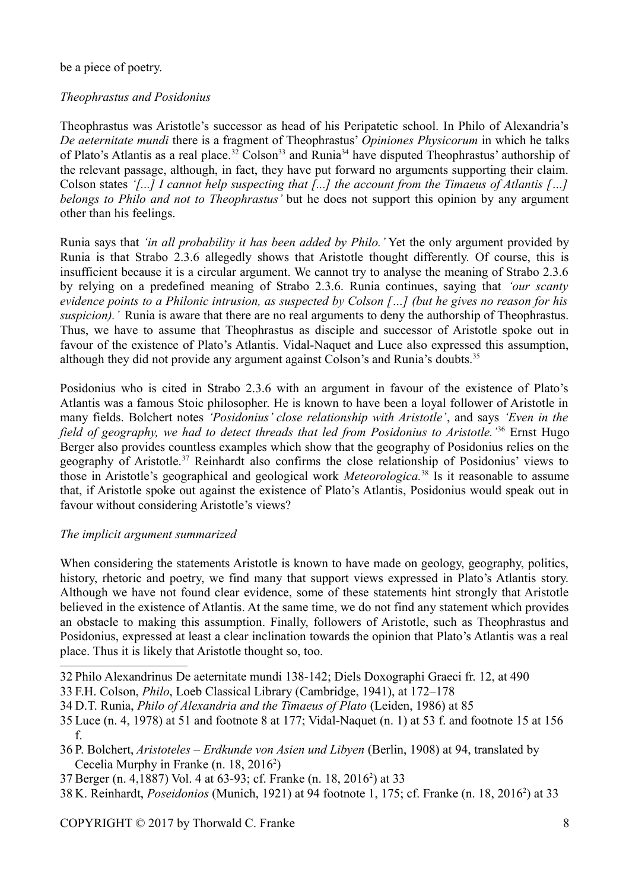be a piece of poetry.

# *Theophrastus and Posidonius*

Theophrastus was Aristotle's successor as head of his Peripatetic school. In Philo of Alexandria's *De aeternitate mundi* there is a fragment of Theophrastus' *Opiniones Physicorum* in which he talks of Plato's Atlantis as a real place.<sup>[32](#page-7-0)</sup> Colson<sup>[33](#page-7-1)</sup> and Runia<sup>[34](#page-7-2)</sup> have disputed Theophrastus' authorship of the relevant passage, although, in fact, they have put forward no arguments supporting their claim. Colson states *'[...] I cannot help suspecting that [...] the account from the Timaeus of Atlantis […] belongs to Philo and not to Theophrastus'* but he does not support this opinion by any argument other than his feelings.

Runia says that *'in all probability it has been added by Philo.'* Yet the only argument provided by Runia is that Strabo 2.3.6 allegedly shows that Aristotle thought differently. Of course, this is insufficient because it is a circular argument. We cannot try to analyse the meaning of Strabo 2.3.6 by relying on a predefined meaning of Strabo 2.3.6. Runia continues, saying that *'our scanty evidence points to a Philonic intrusion, as suspected by Colson […] (but he gives no reason for his suspicion).'* Runia is aware that there are no real arguments to deny the authorship of Theophrastus. Thus, we have to assume that Theophrastus as disciple and successor of Aristotle spoke out in favour of the existence of Plato's Atlantis. Vidal-Naquet and Luce also expressed this assumption, although they did not provide any argument against Colson's and Runia's doubts.[35](#page-7-3)

Posidonius who is cited in Strabo 2.3.6 with an argument in favour of the existence of Plato's Atlantis was a famous Stoic philosopher. He is known to have been a loyal follower of Aristotle in many fields. Bolchert notes *'Posidonius' close relationship with Aristotle'*, and says *'Even in the field of geography, we had to detect threads that led from Posidonius to Aristotle.'*[36](#page-7-4) Ernst Hugo Berger also provides countless examples which show that the geography of Posidonius relies on the geography of Aristotle.<sup>[37](#page-7-5)</sup> Reinhardt also confirms the close relationship of Posidonius' views to those in Aristotle's geographical and geological work *Meteorologica.*[38](#page-7-6) Is it reasonable to assume that, if Aristotle spoke out against the existence of Plato's Atlantis, Posidonius would speak out in favour without considering Aristotle's views?

# *The implicit argument summarized*

When considering the statements Aristotle is known to have made on geology, geography, politics, history, rhetoric and poetry, we find many that support views expressed in Plato's Atlantis story. Although we have not found clear evidence, some of these statements hint strongly that Aristotle believed in the existence of Atlantis. At the same time, we do not find any statement which provides an obstacle to making this assumption. Finally, followers of Aristotle, such as Theophrastus and Posidonius, expressed at least a clear inclination towards the opinion that Plato's Atlantis was a real place. Thus it is likely that Aristotle thought so, too.

<span id="page-7-0"></span>32 Philo Alexandrinus De aeternitate mundi 138-142; Diels Doxographi Graeci fr. 12, at 490

<span id="page-7-2"></span>34 D.T. Runia, *Philo of Alexandria and the Timaeus of Plato* (Leiden, 1986) at 85

- <span id="page-7-4"></span>36 P. Bolchert, *Aristoteles – Erdkunde von Asien und Libyen* (Berlin, 1908) at 94, translated by Cecelia Murphy in Franke (n. 18, 2016<sup>2</sup>)
- <span id="page-7-5"></span>37 Berger (n. 4,1887) Vol. 4 at 63-93; cf. Franke (n. 18, 2016<sup>2</sup>) at 33
- <span id="page-7-6"></span>38 K. Reinhardt, *Poseidonios* (Munich, 1921) at 94 footnote 1, 175; cf. Franke (n. 18, 2016<sup>2</sup>) at 33

<span id="page-7-1"></span><sup>33</sup> F.H. Colson, *Philo*, Loeb Classical Library (Cambridge, 1941), at 172–178

<span id="page-7-3"></span><sup>35</sup> Luce (n. 4, 1978) at 51 and footnote 8 at 177; Vidal-Naquet (n. 1) at 53 f. and footnote 15 at 156 f.